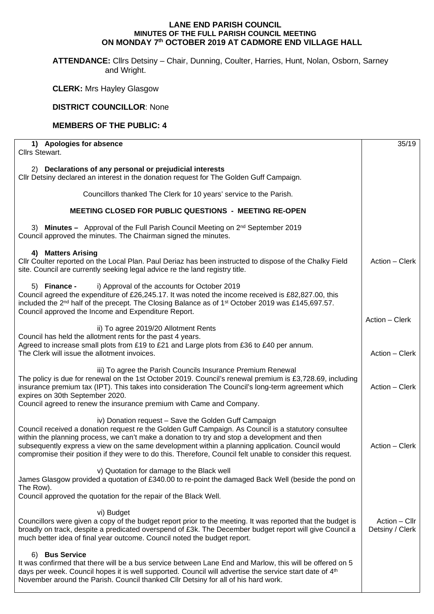## **LANE END PARISH COUNCIL MINUTES OF THE FULL PARISH COUNCIL MEETING ON MONDAY 7th OCTOBER 2019 AT CADMORE END VILLAGE HALL**

**ATTENDANCE:** Cllrs Detsiny – Chair, Dunning, Coulter, Harries, Hunt, Nolan, Osborn, Sarney and Wright.

**CLERK:** Mrs Hayley Glasgow

## **DISTRICT COUNCILLOR**: None

## **MEMBERS OF THE PUBLIC: 4**

| 1) Apologies for absence<br>Cllrs Stewart.                                                                                                                                                                                                                                                                                                                                                                                                                                      | 35/19                              |
|---------------------------------------------------------------------------------------------------------------------------------------------------------------------------------------------------------------------------------------------------------------------------------------------------------------------------------------------------------------------------------------------------------------------------------------------------------------------------------|------------------------------------|
| 2) Declarations of any personal or prejudicial interests<br>Cllr Detsiny declared an interest in the donation request for The Golden Guff Campaign.                                                                                                                                                                                                                                                                                                                             |                                    |
| Councillors thanked The Clerk for 10 years' service to the Parish.                                                                                                                                                                                                                                                                                                                                                                                                              |                                    |
| MEETING CLOSED FOR PUBLIC QUESTIONS - MEETING RE-OPEN                                                                                                                                                                                                                                                                                                                                                                                                                           |                                    |
| 3) Minutes - Approval of the Full Parish Council Meeting on 2 <sup>nd</sup> September 2019<br>Council approved the minutes. The Chairman signed the minutes.                                                                                                                                                                                                                                                                                                                    |                                    |
| 4) Matters Arising<br>Cllr Coulter reported on the Local Plan. Paul Deriaz has been instructed to dispose of the Chalky Field<br>site. Council are currently seeking legal advice re the land registry title.                                                                                                                                                                                                                                                                   | Action - Clerk                     |
| i) Approval of the accounts for October 2019<br>5) Finance -<br>Council agreed the expenditure of £26,245.17. It was noted the income received is £82,827.00, this<br>included the 2 <sup>nd</sup> half of the precept. The Closing Balance as of 1 <sup>st</sup> October 2019 was £145,697.57.<br>Council approved the Income and Expenditure Report.                                                                                                                          |                                    |
| ii) To agree 2019/20 Allotment Rents                                                                                                                                                                                                                                                                                                                                                                                                                                            | Action - Clerk                     |
| Council has held the allotment rents for the past 4 years.<br>Agreed to increase small plots from £19 to £21 and Large plots from £36 to £40 per annum.<br>The Clerk will issue the allotment invoices.                                                                                                                                                                                                                                                                         |                                    |
| iii) To agree the Parish Councils Insurance Premium Renewal<br>The policy is due for renewal on the 1st October 2019. Council's renewal premium is £3,728.69, including<br>insurance premium tax (IPT). This takes into consideration The Council's long-term agreement which<br>expires on 30th September 2020.<br>Council agreed to renew the insurance premium with Came and Company.                                                                                        | Action - Clerk                     |
| iv) Donation request - Save the Golden Guff Campaign<br>Council received a donation request re the Golden Guff Campaign. As Council is a statutory consultee<br>within the planning process, we can't make a donation to try and stop a development and then<br>subsequently express a view on the same development within a planning application. Council would<br>compromise their position if they were to do this. Therefore, Council felt unable to consider this request. | Action - Clerk                     |
| v) Quotation for damage to the Black well<br>James Glasgow provided a quotation of £340.00 to re-point the damaged Back Well (beside the pond on<br>The Row).<br>Council approved the quotation for the repair of the Black Well.                                                                                                                                                                                                                                               |                                    |
| vi) Budget<br>Councillors were given a copy of the budget report prior to the meeting. It was reported that the budget is<br>broadly on track, despite a predicated overspend of £3k. The December budget report will give Council a<br>much better idea of final year outcome. Council noted the budget report.                                                                                                                                                                | $Action - ClIr$<br>Detsiny / Clerk |
| <b>Bus Service</b><br>6)<br>It was confirmed that there will be a bus service between Lane End and Marlow, this will be offered on 5<br>days per week. Council hopes it is well supported. Council will advertise the service start date of 4th<br>November around the Parish. Council thanked Cllr Detsiny for all of his hard work.                                                                                                                                           |                                    |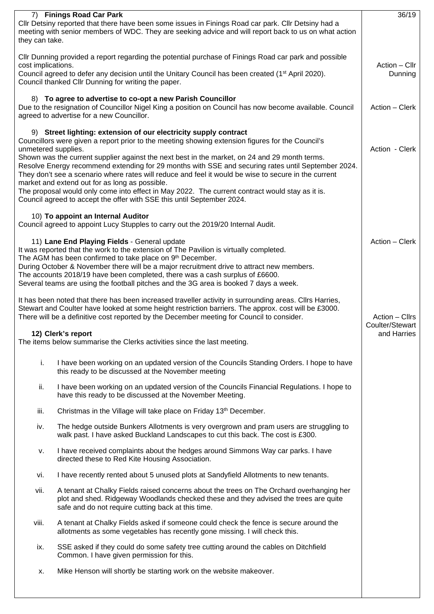|                                                                                                                                                                                                                                                                                                             |                                                                                                                                                                                                                                                                                                              | 36/19                             |  |  |  |
|-------------------------------------------------------------------------------------------------------------------------------------------------------------------------------------------------------------------------------------------------------------------------------------------------------------|--------------------------------------------------------------------------------------------------------------------------------------------------------------------------------------------------------------------------------------------------------------------------------------------------------------|-----------------------------------|--|--|--|
| 7) Finings Road Car Park<br>Cllr Detsiny reported that there have been some issues in Finings Road car park. Cllr Detsiny had a<br>meeting with senior members of WDC. They are seeking advice and will report back to us on what action<br>they can take.                                                  |                                                                                                                                                                                                                                                                                                              |                                   |  |  |  |
| CIIr Dunning provided a report regarding the potential purchase of Finings Road car park and possible<br>cost implications.<br>Council agreed to defer any decision until the Unitary Council has been created (1 <sup>st</sup> April 2020).                                                                |                                                                                                                                                                                                                                                                                                              |                                   |  |  |  |
|                                                                                                                                                                                                                                                                                                             | Council thanked Cllr Dunning for writing the paper.                                                                                                                                                                                                                                                          |                                   |  |  |  |
| 8) To agree to advertise to co-opt a new Parish Councillor<br>Due to the resignation of Councillor Nigel King a position on Council has now become available. Council<br>agreed to advertise for a new Councillor.                                                                                          |                                                                                                                                                                                                                                                                                                              |                                   |  |  |  |
| 9) Street lighting: extension of our electricity supply contract<br>Councillors were given a report prior to the meeting showing extension figures for the Council's<br>unmetered supplies.                                                                                                                 |                                                                                                                                                                                                                                                                                                              |                                   |  |  |  |
| Shown was the current supplier against the next best in the market, on 24 and 29 month terms.<br>Resolve Energy recommend extending for 29 months with SSE and securing rates until September 2024.<br>They don't see a scenario where rates will reduce and feel it would be wise to secure in the current |                                                                                                                                                                                                                                                                                                              |                                   |  |  |  |
| market and extend out for as long as possible.<br>The proposal would only come into effect in May 2022. The current contract would stay as it is.<br>Council agreed to accept the offer with SSE this until September 2024.                                                                                 |                                                                                                                                                                                                                                                                                                              |                                   |  |  |  |
|                                                                                                                                                                                                                                                                                                             | 10) To appoint an Internal Auditor<br>Council agreed to appoint Lucy Stupples to carry out the 2019/20 Internal Audit.                                                                                                                                                                                       |                                   |  |  |  |
| 11) Lane End Playing Fields - General update<br>It was reported that the work to the extension of The Pavilion is virtually completed.<br>The AGM has been confirmed to take place on 9 <sup>th</sup> December.                                                                                             |                                                                                                                                                                                                                                                                                                              |                                   |  |  |  |
| During October & November there will be a major recruitment drive to attract new members.<br>The accounts 2018/19 have been completed, there was a cash surplus of £6600.<br>Several teams are using the football pitches and the 3G area is booked 7 days a week.                                          |                                                                                                                                                                                                                                                                                                              |                                   |  |  |  |
|                                                                                                                                                                                                                                                                                                             | It has been noted that there has been increased traveller activity in surrounding areas. Cllrs Harries,<br>Stewart and Coulter have looked at some height restriction barriers. The approx. cost will be £3000.<br>There will be a definitive cost reported by the December meeting for Council to consider. | Action - Cllrs<br>Coulter/Stewart |  |  |  |
| 12) Clerk's report<br>The items below summarise the Clerks activities since the last meeting.                                                                                                                                                                                                               |                                                                                                                                                                                                                                                                                                              |                                   |  |  |  |
| i.                                                                                                                                                                                                                                                                                                          | I have been working on an updated version of the Councils Standing Orders. I hope to have<br>this ready to be discussed at the November meeting                                                                                                                                                              |                                   |  |  |  |
| ii.                                                                                                                                                                                                                                                                                                         | I have been working on an updated version of the Councils Financial Regulations. I hope to<br>have this ready to be discussed at the November Meeting.                                                                                                                                                       |                                   |  |  |  |
| iii.                                                                                                                                                                                                                                                                                                        | Christmas in the Village will take place on Friday 13 <sup>th</sup> December.                                                                                                                                                                                                                                |                                   |  |  |  |
| iv.                                                                                                                                                                                                                                                                                                         | The hedge outside Bunkers Allotments is very overgrown and pram users are struggling to<br>walk past. I have asked Buckland Landscapes to cut this back. The cost is £300.                                                                                                                                   |                                   |  |  |  |
| v.                                                                                                                                                                                                                                                                                                          | I have received complaints about the hedges around Simmons Way car parks. I have<br>directed these to Red Kite Housing Association.                                                                                                                                                                          |                                   |  |  |  |
| vi.                                                                                                                                                                                                                                                                                                         | I have recently rented about 5 unused plots at Sandyfield Allotments to new tenants.                                                                                                                                                                                                                         |                                   |  |  |  |
| vii.                                                                                                                                                                                                                                                                                                        | A tenant at Chalky Fields raised concerns about the trees on The Orchard overhanging her<br>plot and shed. Ridgeway Woodlands checked these and they advised the trees are quite<br>safe and do not require cutting back at this time.                                                                       |                                   |  |  |  |
| viii.                                                                                                                                                                                                                                                                                                       | A tenant at Chalky Fields asked if someone could check the fence is secure around the<br>allotments as some vegetables has recently gone missing. I will check this.                                                                                                                                         |                                   |  |  |  |
| ix.                                                                                                                                                                                                                                                                                                         | SSE asked if they could do some safety tree cutting around the cables on Ditchfield<br>Common. I have given permission for this.                                                                                                                                                                             |                                   |  |  |  |
| Х.                                                                                                                                                                                                                                                                                                          | Mike Henson will shortly be starting work on the website makeover.                                                                                                                                                                                                                                           |                                   |  |  |  |